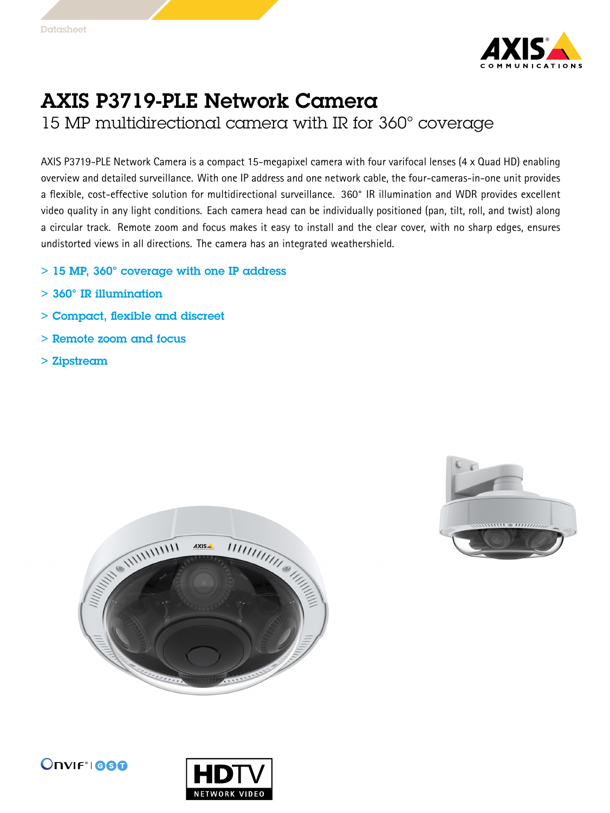

## AXIS P3719-PLE Network Camera

15 MP multidirectional camera with IR for 360° coverage

AXIS P3719-PLE Network Camera is <sup>a</sup> compact 15-megapixel camera with four varifocal lenses (4 <sup>x</sup> Quad HD) enabling overview and detailed surveillance. With one IP address and one network cable, the four-cameras-in-one unit provides <sup>a</sup> flexible, cost-effective solution for multidirectional surveillance. 360° IR illumination and WDR provides excellent video quality in any light conditions. Each camera head can be individually positioned (pan, tilt, roll, and twist) along <sup>a</sup> circular track. Remote zoom and focus makes it easy to install and the clear cover, with no sharp edges, ensures undistorted views in all directions. The camera has an integrated weathershield.

- $> 15$  MP, 360° coverage with one IP address
- > 360° IR illumination
- > Compact, flexible and discreet
- > Remote zoom and focus
- > Zipstream







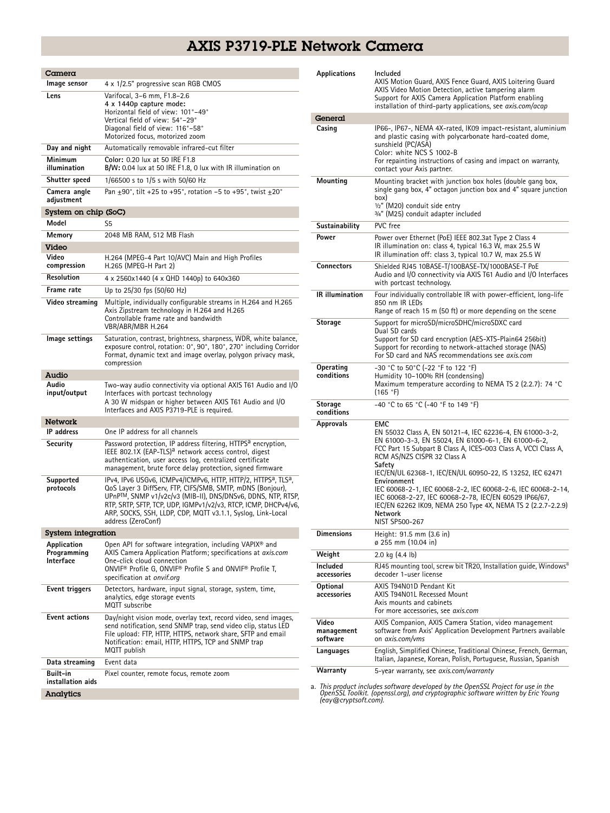## AXIS P3719-PLE Network Camera

| Camera                                  |                                                                                                                                                                                                                                                                                                                                                                             |
|-----------------------------------------|-----------------------------------------------------------------------------------------------------------------------------------------------------------------------------------------------------------------------------------------------------------------------------------------------------------------------------------------------------------------------------|
| Image sensor                            | 4 x 1/2.5" progressive scan RGB CMOS                                                                                                                                                                                                                                                                                                                                        |
| Lens                                    | Varifocal, 3-6 mm, F1.8-2.6<br>4 x 1440p capture mode:<br>Horizontal field of view: 101°-49°<br>Vertical field of view: 54°-29°<br>Diagonal field of view: 116°-58°<br>Motorized focus, motorized zoom                                                                                                                                                                      |
| Day and night                           | Automatically removable infrared-cut filter                                                                                                                                                                                                                                                                                                                                 |
| Minimum<br>illumination                 | Color: 0.20 lux at 50 IRE F1.8<br>B/W: 0.04 lux at 50 IRE F1.8, 0 lux with IR illumination on                                                                                                                                                                                                                                                                               |
| Shutter speed                           | 1/66500 s to 1/5 s with 50/60 Hz                                                                                                                                                                                                                                                                                                                                            |
| Camera angle<br>adjustment              | Pan $\pm$ 90°, tilt +25 to +95°, rotation -5 to +95°, twist $\pm$ 20°                                                                                                                                                                                                                                                                                                       |
| System on chip (SoC)                    |                                                                                                                                                                                                                                                                                                                                                                             |
| Model                                   | S5                                                                                                                                                                                                                                                                                                                                                                          |
| Memory                                  | 2048 MB RAM, 512 MB Flash                                                                                                                                                                                                                                                                                                                                                   |
| Video<br>Video<br>compression           | H.264 (MPEG-4 Part 10/AVC) Main and High Profiles<br>H.265 (MPEG-H Part 2)                                                                                                                                                                                                                                                                                                  |
| Resolution                              | 4 x 2560x1440 (4 x QHD 1440p) to 640x360                                                                                                                                                                                                                                                                                                                                    |
| Frame rate                              | Up to 25/30 fps (50/60 Hz)                                                                                                                                                                                                                                                                                                                                                  |
| Video streaming                         | Multiple, individually configurable streams in H.264 and H.265<br>Axis Zipstream technology in H.264 and H.265<br>Controllable frame rate and bandwidth<br>VBR/ABR/MBR H.264                                                                                                                                                                                                |
| Image settings                          | Saturation, contrast, brightness, sharpness, WDR, white balance,<br>exposure control, rotation: 0°, 90°, 180°, 270° including Corridor<br>Format, dynamic text and image overlay, polygon privacy mask,<br>compression                                                                                                                                                      |
| Audio                                   |                                                                                                                                                                                                                                                                                                                                                                             |
| Audio<br>input/output                   | Two-way audio connectivity via optional AXIS T61 Audio and I/O<br>Interfaces with portcast technology<br>A 30 W midspan or higher between AXIS T61 Audio and I/O<br>Interfaces and AXIS P3719-PLE is required.                                                                                                                                                              |
| Network                                 |                                                                                                                                                                                                                                                                                                                                                                             |
| <b>IP</b> address                       | One IP address for all channels                                                                                                                                                                                                                                                                                                                                             |
| Security                                | Password protection, IP address filtering, HTTPS <sup>a</sup> encryption,<br>IEEE 802.1X (EAP-TLS) <sup>a</sup> network access control, digest<br>authentication, user access log, centralized certificate<br>management, brute force delay protection, signed firmware                                                                                                     |
| Supported<br>protocols                  | IPv4, IPv6 USGv6, ICMPv4/ICMPv6, HTTP, HTTP/2, HTTPS <sup>a</sup> , TLS <sup>a</sup> ,<br>QoS Layer 3 DiffServ, FTP, CIFS/SMB, SMTP, mDNS (Bonjour),<br>UPnP™, SNMP v1/v2c/v3 (MIB-II), DNS/DNSv6, DDNS, NTP, RTSP,<br>RTP, SRTP, SFTP, TCP, UDP, IGMPv1/v2/v3, RTCP, ICMP, DHCPv4/v6,<br>ARP, SOCKS, SSH, LLDP, CDP, MQTT v3.1.1, Syslog, Link-Local<br>address (ZeroConf) |
| <b>System integration</b>               |                                                                                                                                                                                                                                                                                                                                                                             |
| Application<br>Programming<br>Interface | Open API for software integration, including VAPIX <sup>®</sup> and<br>AXIS Camera Application Platform; specifications at axis.com<br>One-click cloud connection<br>ONVIF <sup>®</sup> Profile G. ONVIF® Profile S and ONVIF® Profile T.<br>specification at onvif.org                                                                                                     |
| Event triggers                          | Detectors, hardware, input signal, storage, system, time,<br>analytics, edge storage events<br>MQTT subscribe                                                                                                                                                                                                                                                               |
| <b>Event actions</b>                    | Day/night vision mode, overlay text, record video, send images,<br>send notification, send SNMP trap, send video clip, status LED<br>File upload: FTP, HTTP, HTTPS, network share, SFTP and email<br>Notification: email, HTTP, HTTPS, TCP and SNMP trap<br>MQTT publish                                                                                                    |
| Data streaming                          | Event data                                                                                                                                                                                                                                                                                                                                                                  |
| Built-in<br>installation aids           | Pixel counter, remote focus, remote zoom                                                                                                                                                                                                                                                                                                                                    |
| Analytics                               |                                                                                                                                                                                                                                                                                                                                                                             |

| Applications                    | Included<br>AXIS Motion Guard, AXIS Fence Guard, AXIS Loitering Guard<br>AXIS Video Motion Detection, active tampering alarm<br>Support for AXIS Camera Application Platform enabling<br>installation of third-party applications, see axis.com/acap                                                                                                                                                                                                                                                                                        |
|---------------------------------|---------------------------------------------------------------------------------------------------------------------------------------------------------------------------------------------------------------------------------------------------------------------------------------------------------------------------------------------------------------------------------------------------------------------------------------------------------------------------------------------------------------------------------------------|
| General                         |                                                                                                                                                                                                                                                                                                                                                                                                                                                                                                                                             |
| Casing                          | IP66-, IP67-, NEMA 4X-rated, IK09 impact-resistant, aluminium<br>and plastic casing with polycarbonate hard-coated dome,<br>sunshield (PC/ASA)<br>Color: white NCS S 1002-B<br>For repainting instructions of casing and impact on warranty,<br>contact your Axis partner.                                                                                                                                                                                                                                                                  |
| Mounting                        | Mounting bracket with junction box holes (double gang box,<br>single gang box, 4" octagon junction box and 4" square junction<br>(box<br>1/2" (M20) conduit side entry<br>3/4" (M25) conduit adapter included                                                                                                                                                                                                                                                                                                                               |
| Sustainability                  | PVC free                                                                                                                                                                                                                                                                                                                                                                                                                                                                                                                                    |
| Power                           | Power over Ethernet (PoE) IEEE 802.3at Type 2 Class 4<br>IR illumination on: class 4, typical 16.3 W, max 25.5 W<br>IR illumination off: class 3, typical 10.7 W, max 25.5 W                                                                                                                                                                                                                                                                                                                                                                |
| <b>Connectors</b>               | Shielded RJ45 10BASE-T/100BASE-TX/1000BASE-T PoE<br>Audio and I/O connectivity via AXIS T61 Audio and I/O Interfaces<br>with portcast technology.                                                                                                                                                                                                                                                                                                                                                                                           |
| IR illumination                 | Four individually controllable IR with power-efficient, long-life<br>850 nm IR LEDs<br>Range of reach 15 m (50 ft) or more depending on the scene                                                                                                                                                                                                                                                                                                                                                                                           |
| Storage                         | Support for microSD/microSDHC/microSDXC card<br>Dual SD cards<br>Support for SD card encryption (AES-XTS-Plain64 256bit)<br>Support for recording to network-attached storage (NAS)<br>For SD card and NAS recommendations see axis.com                                                                                                                                                                                                                                                                                                     |
| Operating<br>conditions         | -30 °C to 50°C (-22 °F to 122 °F)<br>Humidity 10-100% RH (condensing)<br>Maximum temperature according to NEMA TS 2 (2.2.7): 74 °C<br>(165 °F)                                                                                                                                                                                                                                                                                                                                                                                              |
| <b>Storage</b><br>conditions    | -40 °C to 65 °C (-40 °F to 149 °F)                                                                                                                                                                                                                                                                                                                                                                                                                                                                                                          |
| Approvals                       | EMC<br>EN 55032 Class A, EN 50121-4, IEC 62236-4, EN 61000-3-2,<br>EN 61000-3-3, EN 55024, EN 61000-6-1, EN 61000-6-2,<br>FCC Part 15 Subpart B Class A, ICES-003 Class A, VCCI Class A,<br>RCM AS/NZS CISPR 32 Class A<br>Safety<br>IEC/EN/UL 62368-1, IEC/EN/UL 60950-22, IS 13252, IEC 62471<br>Environment<br>IEC 60068-2-1, IEC 60068-2-2, IEC 60068-2-6, IEC 60068-2-14,<br>IEC 60068-2-27, IEC 60068-2-78, IEC/EN 60529 IP66/67,<br>IEC/EN 62262 IK09, NEMA 250 Type 4X, NEMA TS 2 (2.2.7-2.2.9)<br><b>Network</b><br>NIST SP500-267 |
| Dimensions                      | Height: 91.5 mm (3.6 in)<br>ø 255 mm (10.04 in)                                                                                                                                                                                                                                                                                                                                                                                                                                                                                             |
| Weight                          | 2.0 kg $(4.4 \text{ lb})$                                                                                                                                                                                                                                                                                                                                                                                                                                                                                                                   |
| Included<br>accessories         | RJ45 mounting tool, screw bit TR20, Installation guide, Windows®<br>decoder 1-user license                                                                                                                                                                                                                                                                                                                                                                                                                                                  |
| Optional<br>accessories         | AXIS T94N01D Pendant Kit<br>AXIS T94N01L Recessed Mount<br>Axis mounts and cabinets<br>For more accessories, see axis.com                                                                                                                                                                                                                                                                                                                                                                                                                   |
| Video<br>management<br>software | AXIS Companion, AXIS Camera Station, video management<br>software from Axis' Application Development Partners available<br>on axis.com/vms                                                                                                                                                                                                                                                                                                                                                                                                  |
| Languages                       | English, Simplified Chinese, Traditional Chinese, French, German,<br>Italian, Japanese, Korean, Polish, Portuguese, Russian, Spanish                                                                                                                                                                                                                                                                                                                                                                                                        |
| Warranty                        | 5-year warranty, see axis.com/warranty                                                                                                                                                                                                                                                                                                                                                                                                                                                                                                      |

a. This product includes software developed by the OpenSSL Project for use in the<br>OpenSSL Toolkit. (openssl.org), and cryptographic software written by Eric Young<br>(eay@cryptsoft.com).